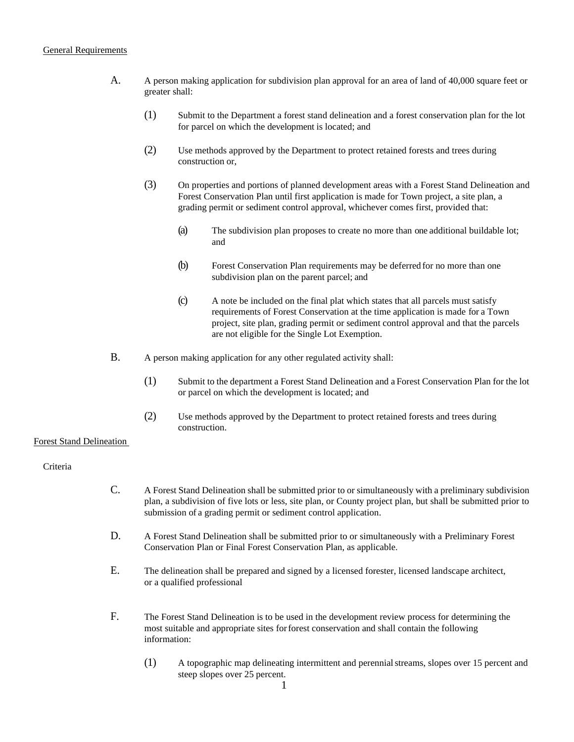### General Requirements

- A. A person making application for subdivision plan approval for an area of land of 40,000 square feet or greater shall:
	- (1) Submit to the Department a forest stand delineation and a forest conservation plan for the lot for parcel on which the development is located; and
	- (2) Use methods approved by the Department to protect retained forests and trees during construction or,
	- (3) On properties and portions of planned development areas with a Forest Stand Delineation and Forest Conservation Plan until first application is made for Town project, a site plan, a grading permit or sediment control approval, whichever comes first, provided that:
		- (a) The subdivision plan proposes to create no more than one additional buildable lot; and
		- (b) Forest Conservation Plan requirements may be deferred for no more than one subdivision plan on the parent parcel; and
		- (c) A note be included on the final plat which states that all parcels must satisfy requirements of Forest Conservation at the time application is made for a Town project, site plan, grading permit or sediment control approval and that the parcels are not eligible for the Single Lot Exemption.
- B. A person making application for any other regulated activity shall:
	- (1) Submit to the department a Forest Stand Delineation and a Forest Conservation Plan for the lot or parcel on which the development is located; and
	- (2) Use methods approved by the Department to protect retained forests and trees during construction.

## Forest Stand Delineation

## Criteria

- C. A Forest Stand Delineation shall be submitted prior to or simultaneously with a preliminary subdivision plan, a subdivision of five lots or less, site plan, or County project plan, but shall be submitted prior to submission of a grading permit or sediment control application.
- D. A Forest Stand Delineation shall be submitted prior to or simultaneously with a Preliminary Forest Conservation Plan or Final Forest Conservation Plan, as applicable.
- E. The delineation shall be prepared and signed by a licensed forester, licensed landscape architect, or a qualified professional
- F. The Forest Stand Delineation is to be used in the development review process for determining the most suitable and appropriate sites forforest conservation and shall contain the following information:
	- (1) A topographic map delineating intermittent and perennialstreams, slopes over 15 percent and steep slopes over 25 percent.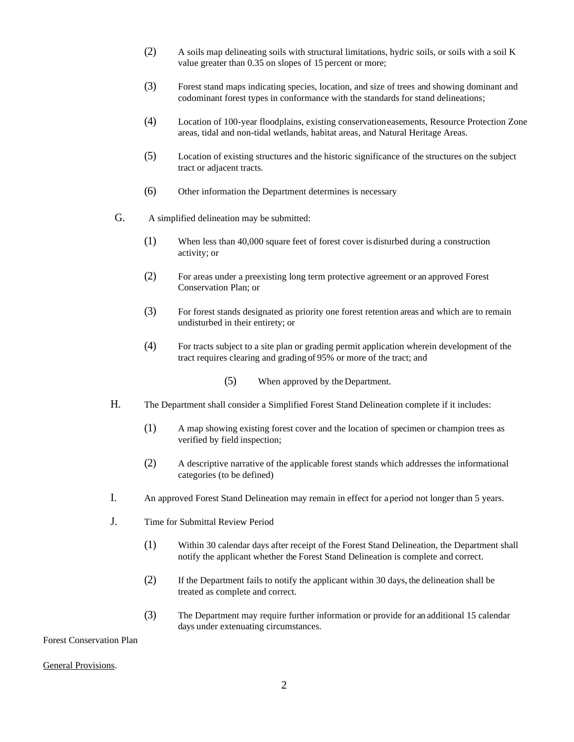- (2) A soils map delineating soils with structural limitations, hydric soils, or soils with a soil K value greater than 0.35 on slopes of 15 percent or more;
- (3) Forest stand maps indicating species, location, and size of trees and showing dominant and codominant forest types in conformance with the standards for stand delineations;
- (4) Location of 100-year floodplains, existing conservationeasements, Resource Protection Zone areas, tidal and non-tidal wetlands, habitat areas, and Natural Heritage Areas.
- (5) Location of existing structures and the historic significance of the structures on the subject tract or adjacent tracts.
- (6) Other information the Department determines is necessary
- G. A simplified delineation may be submitted:
	- (1) When less than 40,000 square feet of forest cover is disturbed during a construction activity; or
	- (2) For areas under a preexisting long term protective agreement or an approved Forest Conservation Plan; or
	- (3) For forest stands designated as priority one forest retention areas and which are to remain undisturbed in their entirety; or
	- (4) For tracts subject to a site plan or grading permit application wherein development of the tract requires clearing and grading of 95% or more of the tract; and
		- (5) When approved by the Department.
- H. The Department shall consider a Simplified Forest Stand Delineation complete if it includes:
	- (1) A map showing existing forest cover and the location of specimen or champion trees as verified by field inspection;
	- (2) A descriptive narrative of the applicable forest stands which addresses the informational categories (to be defined)
- I. An approved Forest Stand Delineation may remain in effect for a period not longer than 5 years.
- J. Time for Submittal Review Period
	- (1) Within 30 calendar days after receipt of the Forest Stand Delineation, the Department shall notify the applicant whether the Forest Stand Delineation is complete and correct.
	- (2) If the Department fails to notify the applicant within 30 days, the delineation shall be treated as complete and correct.
	- (3) The Department may require further information or provide for an additional 15 calendar days under extenuating circumstances.

Forest Conservation Plan

#### General Provisions.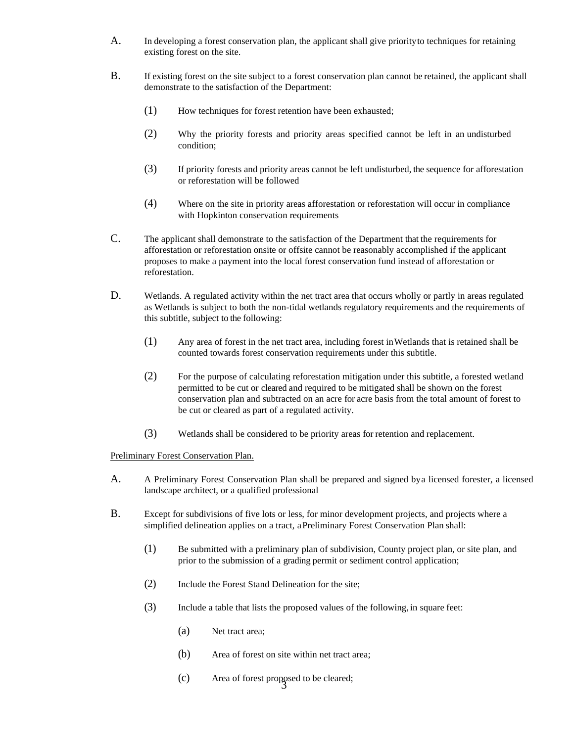- A. In developing a forest conservation plan, the applicant shall give priorityto techniques for retaining existing forest on the site.
- B. If existing forest on the site subject to a forest conservation plan cannot be retained, the applicant shall demonstrate to the satisfaction of the Department:
	- (1) How techniques for forest retention have been exhausted;
	- (2) Why the priority forests and priority areas specified cannot be left in an undisturbed condition;
	- (3) If priority forests and priority areas cannot be left undisturbed, the sequence for afforestation or reforestation will be followed
	- (4) Where on the site in priority areas afforestation or reforestation will occur in compliance with Hopkinton conservation requirements
- C. The applicant shall demonstrate to the satisfaction of the Department that the requirements for afforestation or reforestation onsite or offsite cannot be reasonably accomplished if the applicant proposes to make a payment into the local forest conservation fund instead of afforestation or reforestation.
- D. Wetlands. A regulated activity within the net tract area that occurs wholly or partly in areas regulated as Wetlands is subject to both the non-tidal wetlands regulatory requirements and the requirements of this subtitle, subject to the following:
	- (1) Any area of forest in the net tract area, including forest inWetlands that is retained shall be counted towards forest conservation requirements under this subtitle.
	- (2) For the purpose of calculating reforestation mitigation under this subtitle, a forested wetland permitted to be cut or cleared and required to be mitigated shall be shown on the forest conservation plan and subtracted on an acre for acre basis from the total amount of forest to be cut or cleared as part of a regulated activity.
	- (3) Wetlands shall be considered to be priority areas for retention and replacement.

### Preliminary Forest Conservation Plan.

- A. A Preliminary Forest Conservation Plan shall be prepared and signed bya licensed forester, a licensed landscape architect, or a qualified professional
- B. Except for subdivisions of five lots or less, for minor development projects, and projects where a simplified delineation applies on a tract, a Preliminary Forest Conservation Plan shall:
	- (1) Be submitted with a preliminary plan of subdivision, County project plan, or site plan, and prior to the submission of a grading permit or sediment control application;
	- (2) Include the Forest Stand Delineation for the site;
	- (3) Include a table that lists the proposed values of the following, in square feet:
		- (a) Net tract area;
		- (b) Area of forest on site within net tract area;
		- 3 (c) Area of forest proposed to be cleared;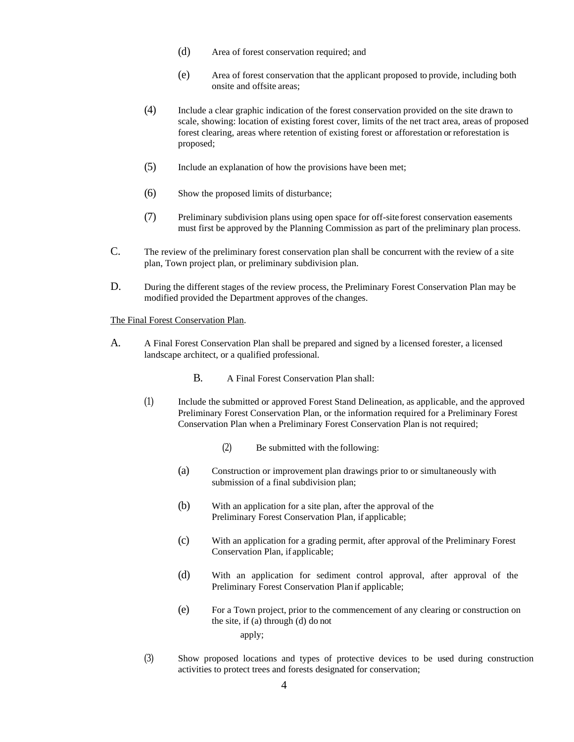- (d) Area of forest conservation required; and
- (e) Area of forest conservation that the applicant proposed to provide, including both onsite and offsite areas;
- (4) Include a clear graphic indication of the forest conservation provided on the site drawn to scale, showing: location of existing forest cover, limits of the net tract area, areas of proposed forest clearing, areas where retention of existing forest or afforestation or reforestation is proposed;
- (5) Include an explanation of how the provisions have been met;
- (6) Show the proposed limits of disturbance;
- (7) Preliminary subdivision plans using open space for off-siteforest conservation easements must first be approved by the Planning Commission as part of the preliminary plan process.
- C. The review of the preliminary forest conservation plan shall be concurrent with the review of a site plan, Town project plan, or preliminary subdivision plan.
- D. During the different stages of the review process, the Preliminary Forest Conservation Plan may be modified provided the Department approves of the changes.

The Final Forest Conservation Plan.

- A. A Final Forest Conservation Plan shall be prepared and signed by a licensed forester, a licensed landscape architect, or a qualified professional.
	- B. A Final Forest Conservation Plan shall:
	- (1) Include the submitted or approved Forest Stand Delineation, as applicable, and the approved Preliminary Forest Conservation Plan, or the information required for a Preliminary Forest Conservation Plan when a Preliminary Forest Conservation Plan is not required;
		- (2) Be submitted with the following:
		- (a) Construction or improvement plan drawings prior to or simultaneously with submission of a final subdivision plan;
		- (b) With an application for a site plan, after the approval of the Preliminary Forest Conservation Plan, if applicable;
		- (c) With an application for a grading permit, after approval of the Preliminary Forest Conservation Plan, if applicable;
		- (d) With an application for sediment control approval, after approval of the Preliminary Forest Conservation Plan if applicable;
		- (e) For a Town project, prior to the commencement of any clearing or construction on the site, if (a) through (d) do not apply;
	- (3) Show proposed locations and types of protective devices to be used during construction activities to protect trees and forests designated for conservation;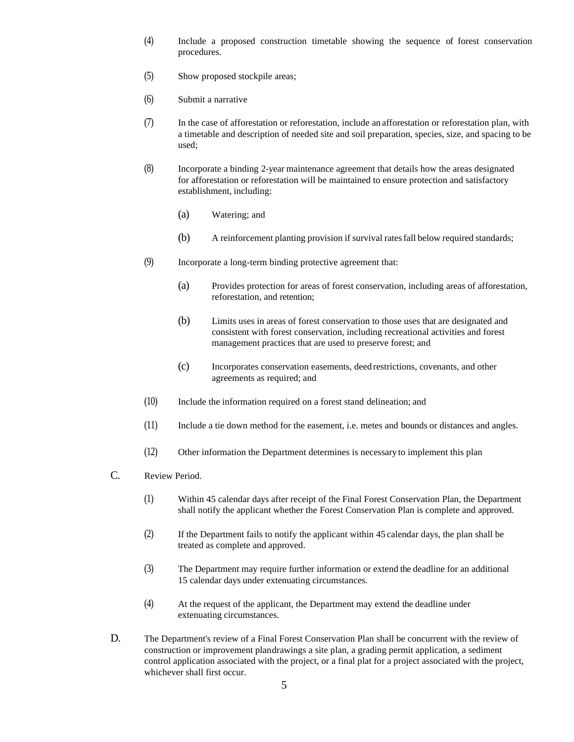- (4) Include a proposed construction timetable showing the sequence of forest conservation procedures.
- (5) Show proposed stockpile areas;
- (6) Submit a narrative
- (7) In the case of afforestation or reforestation, include an afforestation or reforestation plan, with a timetable and description of needed site and soil preparation, species, size, and spacing to be used;
- (8) Incorporate a binding 2-year maintenance agreement that details how the areas designated for afforestation or reforestation will be maintained to ensure protection and satisfactory establishment, including:
	- (a) Watering; and
	- (b) A reinforcement planting provision if survival ratesfall below required standards;
- (9) Incorporate a long-term binding protective agreement that:
	- (a) Provides protection for areas of forest conservation, including areas of afforestation, reforestation, and retention;
	- (b) Limits uses in areas of forest conservation to those uses that are designated and consistent with forest conservation, including recreational activities and forest management practices that are used to preserve forest; and
	- (c) Incorporates conservation easements, deed restrictions, covenants, and other agreements as required; and
- (10) Include the information required on a forest stand delineation; and
- (11) Include a tie down method for the easement, i.e. metes and bounds or distances and angles.
- (12) Other information the Department determines is necessary to implement this plan
- C. Review Period.
	- (1) Within 45 calendar days after receipt of the Final Forest Conservation Plan, the Department shall notify the applicant whether the Forest Conservation Plan is complete and approved.
	- (2) If the Department fails to notify the applicant within 45 calendar days, the plan shall be treated as complete and approved.
	- (3) The Department may require further information or extend the deadline for an additional 15 calendar days under extenuating circumstances.
	- (4) At the request of the applicant, the Department may extend the deadline under extenuating circumstances.
- D. The Department's review of a Final Forest Conservation Plan shall be concurrent with the review of construction or improvement plandrawings a site plan, a grading permit application, a sediment control application associated with the project, or a final plat for a project associated with the project, whichever shall first occur.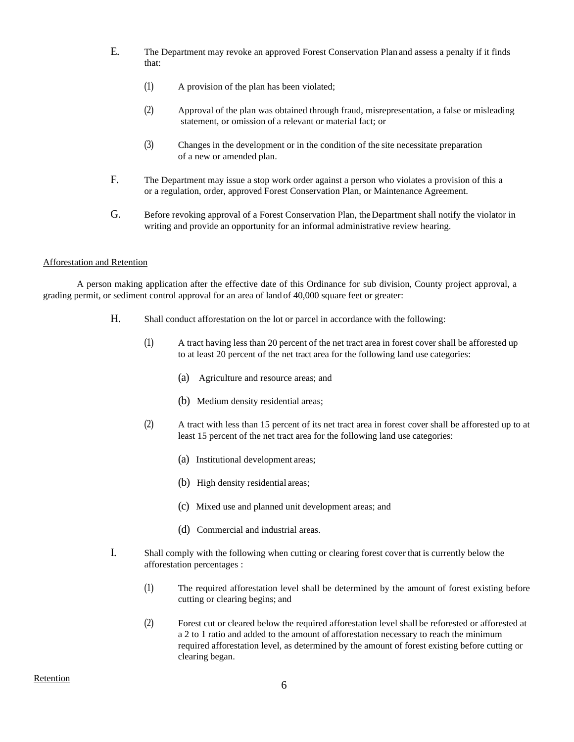- E. The Department may revoke an approved Forest Conservation Plan and assess a penalty if it finds that:
	- (1) A provision of the plan has been violated;
	- (2) Approval of the plan was obtained through fraud, misrepresentation, a false or misleading statement, or omission of a relevant or material fact; or
	- (3) Changes in the development or in the condition of the site necessitate preparation of a new or amended plan.
- F. The Department may issue a stop work order against a person who violates a provision of this a or a regulation, order, approved Forest Conservation Plan, or Maintenance Agreement.
- G. Before revoking approval of a Forest Conservation Plan, the Department shall notify the violator in writing and provide an opportunity for an informal administrative review hearing.

### Afforestation and Retention

A person making application after the effective date of this Ordinance for sub division, County project approval, a grading permit, or sediment control approval for an area of land of 40,000 square feet or greater:

- H. Shall conduct afforestation on the lot or parcel in accordance with the following:
	- (1) A tract having less than 20 percent of the net tract area in forest cover shall be afforested up to at least 20 percent of the net tract area for the following land use categories:
		- (a) Agriculture and resource areas; and
		- (b) Medium density residential areas;
	- (2) A tract with less than 15 percent of its net tract area in forest cover shall be afforested up to at least 15 percent of the net tract area for the following land use categories:
		- (a) Institutional development areas;
		- (b) High density residential areas;
		- (c) Mixed use and planned unit development areas; and
		- (d) Commercial and industrial areas.
- I. Shall comply with the following when cutting or clearing forest cover that is currently below the afforestation percentages :
	- (1) The required afforestation level shall be determined by the amount of forest existing before cutting or clearing begins; and
	- (2) Forest cut or cleared below the required afforestation level shall be reforested or afforested at a 2 to 1 ratio and added to the amount of afforestation necessary to reach the minimum required afforestation level, as determined by the amount of forest existing before cutting or clearing began.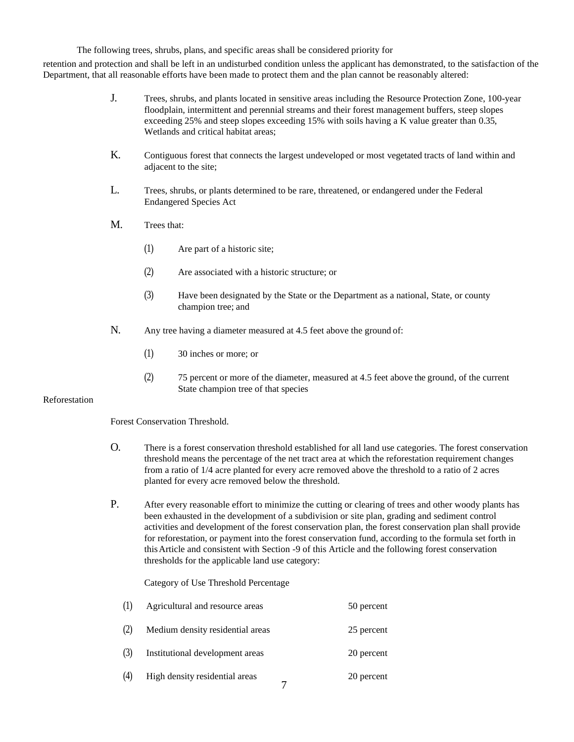The following trees, shrubs, plans, and specific areas shall be considered priority for

retention and protection and shall be left in an undisturbed condition unless the applicant has demonstrated, to the satisfaction of the Department, that all reasonable efforts have been made to protect them and the plan cannot be reasonably altered:

- J. Trees, shrubs, and plants located in sensitive areas including the Resource Protection Zone, 100-year floodplain, intermittent and perennial streams and their forest management buffers, steep slopes exceeding 25% and steep slopes exceeding 15% with soils having a K value greater than 0.35, Wetlands and critical habitat areas;
- K. Contiguous forest that connects the largest undeveloped or most vegetated tracts of land within and adjacent to the site;
- L. Trees, shrubs, or plants determined to be rare, threatened, or endangered under the Federal Endangered Species Act
- M. Trees that:
	- (1) Are part of a historic site;
	- (2) Are associated with a historic structure; or
	- (3) Have been designated by the State or the Department as a national, State, or county champion tree; and
- N. Any tree having a diameter measured at 4.5 feet above the ground of:
	- (1) 30 inches or more; or
	- (2) 75 percent or more of the diameter, measured at 4.5 feet above the ground, of the current State champion tree of that species

## Reforestation

Forest Conservation Threshold.

- O. There is a forest conservation threshold established for all land use categories. The forest conservation threshold means the percentage of the net tract area at which the reforestation requirement changes from a ratio of 1/4 acre planted for every acre removed above the threshold to a ratio of 2 acres planted for every acre removed below the threshold.
- P. After every reasonable effort to minimize the cutting or clearing of trees and other woody plants has been exhausted in the development of a subdivision or site plan, grading and sediment control activities and development of the forest conservation plan, the forest conservation plan shall provide for reforestation, or payment into the forest conservation fund, according to the formula set forth in thisArticle and consistent with Section -9 of this Article and the following forest conservation thresholds for the applicable land use category:

## Category of Use Threshold Percentage

| (1) | Agricultural and resource areas  | 50 percent |
|-----|----------------------------------|------------|
| (2) | Medium density residential areas | 25 percent |
| (3) | Institutional development areas  | 20 percent |
| (4) | High density residential areas   | 20 percent |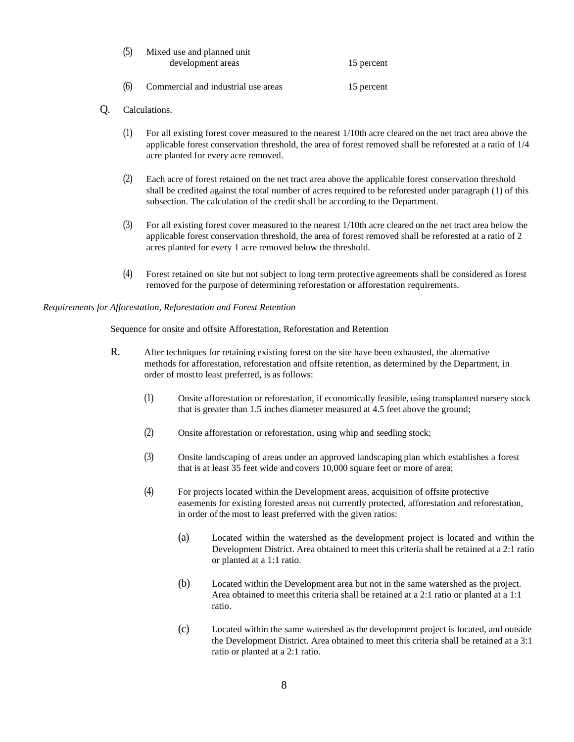| (5) | Mixed use and planned unit |            |
|-----|----------------------------|------------|
|     | development areas          | 15 percent |
|     |                            |            |

- (6) Commercial and industrial use areas 15 percent
- Q. Calculations.
	- (1) For all existing forest cover measured to the nearest 1/10th acre cleared on the net tract area above the applicable forest conservation threshold, the area of forest removed shall be reforested at a ratio of 1/4 acre planted for every acre removed.
	- (2) Each acre of forest retained on the net tract area above the applicable forest conservation threshold shall be credited against the total number of acres required to be reforested under paragraph (1) of this subsection. The calculation of the credit shall be according to the Department.
	- (3) For all existing forest cover measured to the nearest 1/10th acre cleared on the net tract area below the applicable forest conservation threshold, the area of forest removed shall be reforested at a ratio of 2 acres planted for every 1 acre removed below the threshold.
	- (4) Forest retained on site but not subject to long term protective agreements shall be considered as forest removed for the purpose of determining reforestation or afforestation requirements.

### *Requirements for Afforestation, Reforestation and Forest Retention*

Sequence for onsite and offsite Afforestation, Reforestation and Retention

- R. After techniques for retaining existing forest on the site have been exhausted, the alternative methods for afforestation, reforestation and offsite retention, as determined by the Department, in order of mostto least preferred, is as follows:
	- (1) Onsite afforestation or reforestation, if economically feasible, using transplanted nursery stock that is greater than 1.5 inches diameter measured at 4.5 feet above the ground;
	- (2) Onsite afforestation or reforestation, using whip and seedling stock;
	- (3) Onsite landscaping of areas under an approved landscaping plan which establishes a forest that is at least 35 feet wide and covers 10,000 square feet or more of area;
	- (4) For projects located within the Development areas, acquisition of offsite protective easements for existing forested areas not currently protected, afforestation and reforestation, in order of the most to least preferred with the given ratios:
		- (a) Located within the watershed as the development project is located and within the Development District. Area obtained to meet this criteria shall be retained at a 2:1 ratio or planted at a 1:1 ratio.
		- (b) Located within the Development area but not in the same watershed as the project. Area obtained to meet this criteria shall be retained at a 2:1 ratio or planted at a 1:1 ratio.
		- (c) Located within the same watershed as the development project is located, and outside the Development District. Area obtained to meet this criteria shall be retained at a 3:1 ratio or planted at a 2:1 ratio.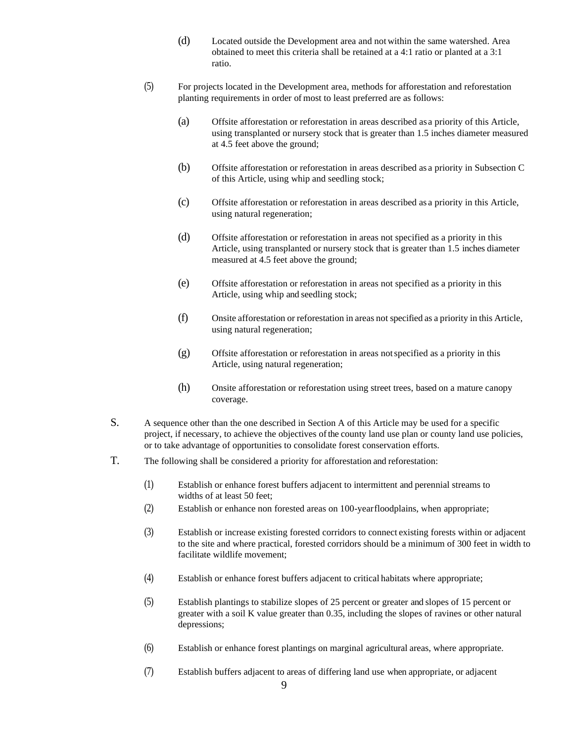- (d) Located outside the Development area and not within the same watershed. Area obtained to meet this criteria shall be retained at a 4:1 ratio or planted at a 3:1 ratio.
- (5) For projects located in the Development area, methods for afforestation and reforestation planting requirements in order of most to least preferred are as follows:
	- (a) Offsite afforestation or reforestation in areas described as a priority of this Article, using transplanted or nursery stock that is greater than 1.5 inches diameter measured at 4.5 feet above the ground;
	- (b) Offsite afforestation or reforestation in areas described as a priority in Subsection C of this Article, using whip and seedling stock;
	- (c) Offsite afforestation or reforestation in areas described as a priority in this Article, using natural regeneration;
	- (d) Offsite afforestation or reforestation in areas not specified as a priority in this Article, using transplanted or nursery stock that is greater than 1.5 inches diameter measured at 4.5 feet above the ground;
	- (e) Offsite afforestation or reforestation in areas not specified as a priority in this Article, using whip and seedling stock;
	- (f) Onsite afforestation or reforestation in areas not specified as a priority in this Article, using natural regeneration;
	- (g) Offsite afforestation or reforestation in areas notspecified as a priority in this Article, using natural regeneration;
	- (h) Onsite afforestation or reforestation using street trees, based on a mature canopy coverage.
- S. A sequence other than the one described in Section A of this Article may be used for a specific project, if necessary, to achieve the objectives ofthe county land use plan or county land use policies, or to take advantage of opportunities to consolidate forest conservation efforts.
- T. The following shall be considered a priority for afforestation and reforestation:
	- (1) Establish or enhance forest buffers adjacent to intermittent and perennial streams to widths of at least 50 feet;
	- (2) Establish or enhance non forested areas on 100-yearfloodplains, when appropriate;
	- (3) Establish or increase existing forested corridors to connect existing forests within or adjacent to the site and where practical, forested corridors should be a minimum of 300 feet in width to facilitate wildlife movement;
	- (4) Establish or enhance forest buffers adjacent to critical habitats where appropriate;
	- (5) Establish plantings to stabilize slopes of 25 percent or greater and slopes of 15 percent or greater with a soil K value greater than 0.35, including the slopes of ravines or other natural depressions;
	- (6) Establish or enhance forest plantings on marginal agricultural areas, where appropriate.
	- (7) Establish buffers adjacent to areas of differing land use when appropriate, or adjacent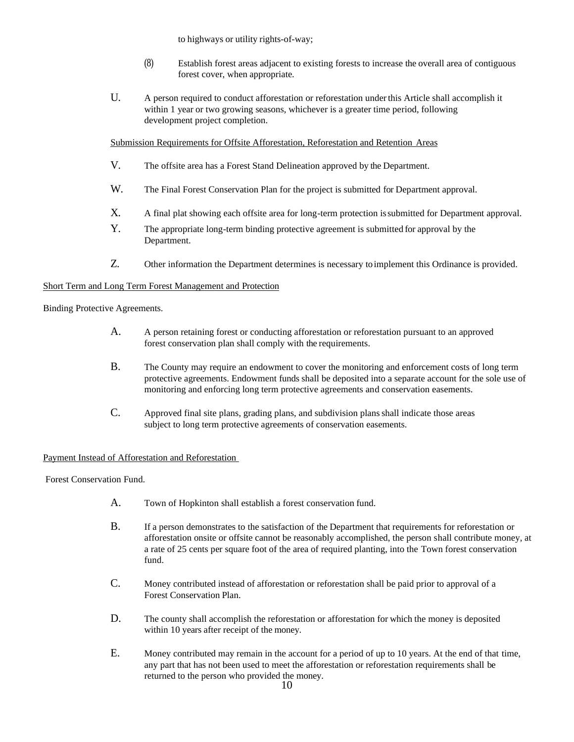to highways or utility rights-of-way;

- (8) Establish forest areas adjacent to existing forests to increase the overall area of contiguous forest cover, when appropriate.
- U. A person required to conduct afforestation or reforestation under this Article shall accomplish it within 1 year or two growing seasons, whichever is a greater time period, following development project completion.

Submission Requirements for Offsite Afforestation, Reforestation and Retention Areas

- V. The offsite area has a Forest Stand Delineation approved by the Department.
- W. The Final Forest Conservation Plan for the project is submitted for Department approval.
- X. A final plat showing each offsite area for long-term protection issubmitted for Department approval.
- Y. The appropriate long-term binding protective agreement is submitted for approval by the Department.
- Z. Other information the Department determines is necessary toimplement this Ordinance is provided.

# Short Term and Long Term Forest Management and Protection

Binding Protective Agreements.

- A. A person retaining forest or conducting afforestation or reforestation pursuant to an approved forest conservation plan shall comply with the requirements.
- B. The County may require an endowment to cover the monitoring and enforcement costs of long term protective agreements. Endowment funds shall be deposited into a separate account for the sole use of monitoring and enforcing long term protective agreements and conservation easements.
- C. Approved final site plans, grading plans, and subdivision plansshall indicate those areas subject to long term protective agreements of conservation easements.

# Payment Instead of Afforestation and Reforestation

Forest Conservation Fund.

- A. Town of Hopkinton shall establish a forest conservation fund.
- B. If a person demonstrates to the satisfaction of the Department that requirements for reforestation or afforestation onsite or offsite cannot be reasonably accomplished, the person shall contribute money, at a rate of 25 cents per square foot of the area of required planting, into the Town forest conservation fund.
- C. Money contributed instead of afforestation or reforestation shall be paid prior to approval of a Forest Conservation Plan.
- D. The county shall accomplish the reforestation or afforestation for which the money is deposited within 10 years after receipt of the money.
- E. Money contributed may remain in the account for a period of up to 10 years. At the end of that time, any part that has not been used to meet the afforestation or reforestation requirements shall be returned to the person who provided the money.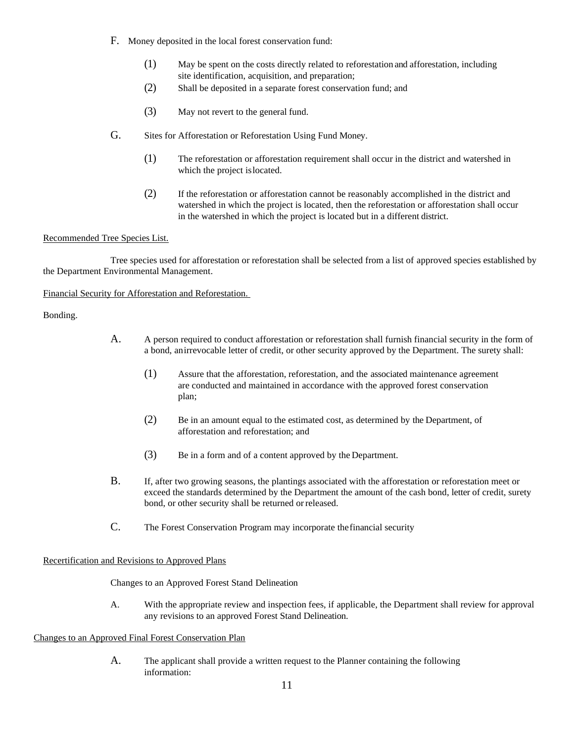- F. Money deposited in the local forest conservation fund:
	- (1) May be spent on the costs directly related to reforestation and afforestation, including site identification, acquisition, and preparation;
	- (2) Shall be deposited in a separate forest conservation fund; and
	- (3) May not revert to the general fund.
- G. Sites for Afforestation or Reforestation Using Fund Money.
	- (1) The reforestation or afforestation requirement shall occur in the district and watershed in which the project islocated.
	- (2) If the reforestation or afforestation cannot be reasonably accomplished in the district and watershed in which the project is located, then the reforestation or afforestation shall occur in the watershed in which the project is located but in a different district.

## Recommended Tree Species List.

Tree species used for afforestation or reforestation shall be selected from a list of approved species established by the Department Environmental Management.

Financial Security for Afforestation and Reforestation.

Bonding.

- A. A person required to conduct afforestation or reforestation shall furnish financial security in the form of a bond, anirrevocable letter of credit, or other security approved by the Department. The surety shall:
	- (1) Assure that the afforestation, reforestation, and the associated maintenance agreement are conducted and maintained in accordance with the approved forest conservation plan;
	- (2) Be in an amount equal to the estimated cost, as determined by the Department, of afforestation and reforestation; and
	- (3) Be in a form and of a content approved by the Department.
- B. If, after two growing seasons, the plantings associated with the afforestation or reforestation meet or exceed the standards determined by the Department the amount of the cash bond, letter of credit, surety bond, or other security shall be returned orreleased.
- C. The Forest Conservation Program may incorporate thefinancial security

## Recertification and Revisions to Approved Plans

Changes to an Approved Forest Stand Delineation

A. With the appropriate review and inspection fees, if applicable, the Department shall review for approval any revisions to an approved Forest Stand Delineation.

## Changes to an Approved Final Forest Conservation Plan

A. The applicant shall provide a written request to the Planner containing the following information: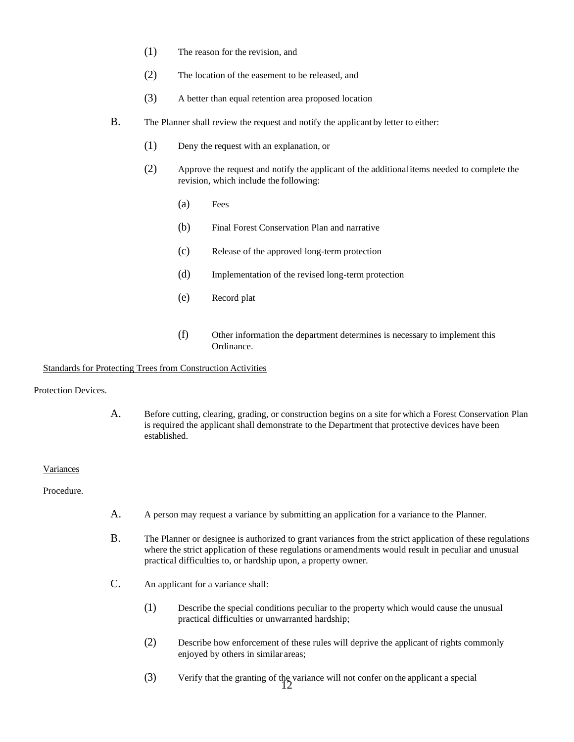- (1) The reason for the revision, and
- (2) The location of the easement to be released, and
- (3) A better than equal retention area proposed location
- B. The Planner shall review the request and notify the applicant by letter to either:
	- (1) Deny the request with an explanation, or
	- (2) Approve the request and notify the applicant of the additionalitems needed to complete the revision, which include the following:
		- (a) Fees
		- (b) Final Forest Conservation Plan and narrative
		- (c) Release of the approved long-term protection
		- (d) Implementation of the revised long-term protection
		- (e) Record plat
		- (f) Other information the department determines is necessary to implement this Ordinance.

### Standards for Protecting Trees from Construction Activities

Protection Devices.

A. Before cutting, clearing, grading, or construction begins on a site for which a Forest Conservation Plan is required the applicant shall demonstrate to the Department that protective devices have been established.

### Variances

Procedure.

- A. A person may request a variance by submitting an application for a variance to the Planner.
- B. The Planner or designee is authorized to grant variances from the strict application of these regulations where the strict application of these regulations or amendments would result in peculiar and unusual practical difficulties to, or hardship upon, a property owner.
- C. An applicant for a variance shall:
	- (1) Describe the special conditions peculiar to the property which would cause the unusual practical difficulties or unwarranted hardship;
	- (2) Describe how enforcement of these rules will deprive the applicant of rights commonly enjoyed by others in similar areas;
	- 12 (3) Verify that the granting of the variance will not confer on the applicant a special